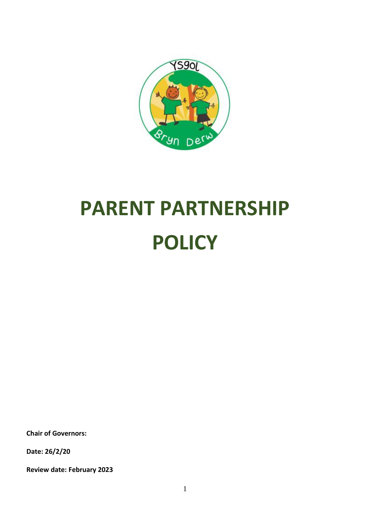

# **PARENT PARTNERSHIP POLICY**

**Chair of Governors:**

**Date: 26/2/20**

**Review date: February 2023**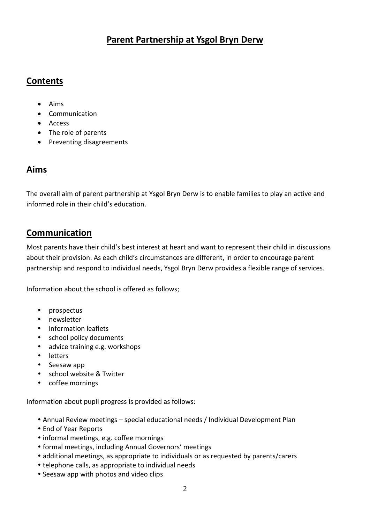## **Parent Partnership at Ysgol Bryn Derw**

## **Contents**

- Aims
- Communication
- Access
- The role of parents
- Preventing disagreements

## **Aims**

The overall aim of parent partnership at Ysgol Bryn Derw is to enable families to play an active and informed role in their child's education.

#### **Communication**

Most parents have their child's best interest at heart and want to represent their child in discussions about their provision. As each child's circumstances are different, in order to encourage parent partnership and respond to individual needs, Ysgol Bryn Derw provides a flexible range of services.

Information about the school is offered as follows;

- prospectus
- newsletter
- information leaflets
- school policy documents
- advice training e.g. workshops
- letters
- Seesaw app
- school website & Twitter
- coffee mornings

Information about pupil progress is provided as follows:

- Annual Review meetings special educational needs / Individual Development Plan
- End of Year Reports
- informal meetings, e.g. coffee mornings
- formal meetings, including Annual Governors' meetings
- additional meetings, as appropriate to individuals or as requested by parents/carers
- telephone calls, as appropriate to individual needs
- Seesaw app with photos and video clips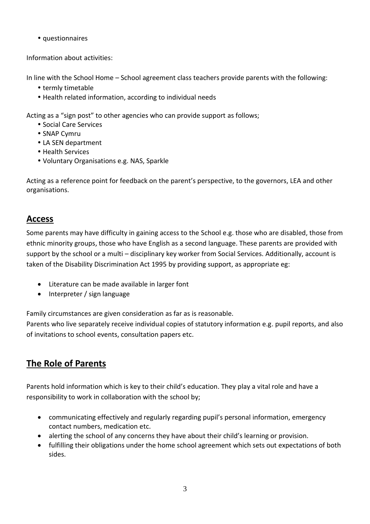• questionnaires

Information about activities:

In line with the School Home – School agreement class teachers provide parents with the following:

- termly timetable
- Health related information, according to individual needs

Acting as a "sign post" to other agencies who can provide support as follows;

- Social Care Services
- SNAP Cvmru
- LA SEN department
- Health Services
- Voluntary Organisations e.g. NAS, Sparkle

Acting as a reference point for feedback on the parent's perspective, to the governors, LEA and other organisations.

#### **Access**

Some parents may have difficulty in gaining access to the School e.g. those who are disabled, those from ethnic minority groups, those who have English as a second language. These parents are provided with support by the school or a multi – disciplinary key worker from Social Services. Additionally, account is taken of the Disability Discrimination Act 1995 by providing support, as appropriate eg:

- Literature can be made available in larger font
- Interpreter / sign language

Family circumstances are given consideration as far as is reasonable.

Parents who live separately receive individual copies of statutory information e.g. pupil reports, and also of invitations to school events, consultation papers etc.

# **The Role of Parents**

Parents hold information which is key to their child's education. They play a vital role and have a responsibility to work in collaboration with the school by;

- communicating effectively and regularly regarding pupil's personal information, emergency contact numbers, medication etc.
- alerting the school of any concerns they have about their child's learning or provision.
- fulfilling their obligations under the home school agreement which sets out expectations of both sides.